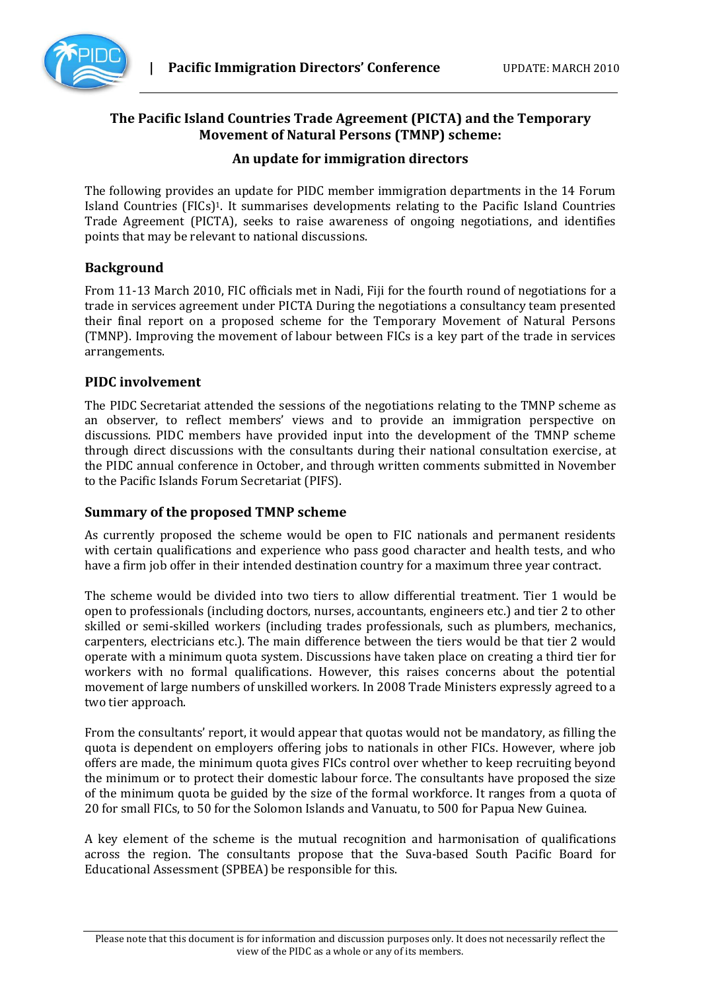

# **The Pacific Island Countries Trade Agreement (PICTA) and the Temporary Movement of Natural Persons (TMNP) scheme:**

## **An update for immigration directors**

The following provides an update for PIDC member immigration departments in the 14 Forum Island Countries (FICs)1. It summarises developments relating to the Pacific Island Countries Trade Agreement (PICTA), seeks to raise awareness of ongoing negotiations, and identifies points that may be relevant to national discussions.

## **Background**

From 11-13 March 2010, FIC officials met in Nadi, Fiji for the fourth round of negotiations for a trade in services agreement under PICTA During the negotiations a consultancy team presented their final report on a proposed scheme for the Temporary Movement of Natural Persons (TMNP). Improving the movement of labour between FICs is a key part of the trade in services arrangements.

## **PIDC involvement**

The PIDC Secretariat attended the sessions of the negotiations relating to the TMNP scheme as an observer, to reflect members' views and to provide an immigration perspective on discussions. PIDC members have provided input into the development of the TMNP scheme through direct discussions with the consultants during their national consultation exercise, at the PIDC annual conference in October, and through written comments submitted in November to the Pacific Islands Forum Secretariat (PIFS).

#### **Summary of the proposed TMNP scheme**

As currently proposed the scheme would be open to FIC nationals and permanent residents with certain qualifications and experience who pass good character and health tests, and who have a firm job offer in their intended destination country for a maximum three year contract.

The scheme would be divided into two tiers to allow differential treatment. Tier 1 would be open to professionals (including doctors, nurses, accountants, engineers etc.) and tier 2 to other skilled or semi-skilled workers (including trades professionals, such as plumbers, mechanics, carpenters, electricians etc.). The main difference between the tiers would be that tier 2 would operate with a minimum quota system. Discussions have taken place on creating a third tier for workers with no formal qualifications. However, this raises concerns about the potential movement of large numbers of unskilled workers. In 2008 Trade Ministers expressly agreed to a two tier approach.

From the consultants' report, it would appear that quotas would not be mandatory, as filling the quota is dependent on employers offering jobs to nationals in other FICs. However, where job offers are made, the minimum quota gives FICs control over whether to keep recruiting beyond the minimum or to protect their domestic labour force. The consultants have proposed the size of the minimum quota be guided by the size of the formal workforce. It ranges from a quota of 20 for small FICs, to 50 for the Solomon Islands and Vanuatu, to 500 for Papua New Guinea.

A key element of the scheme is the mutual recognition and harmonisation of qualifications across the region. The consultants propose that the Suva-based South Pacific Board for Educational Assessment (SPBEA) be responsible for this.

Please note that this document is for information and discussion purposes only. It does not necessarily reflect the view of the PIDC as a whole or any of its members.